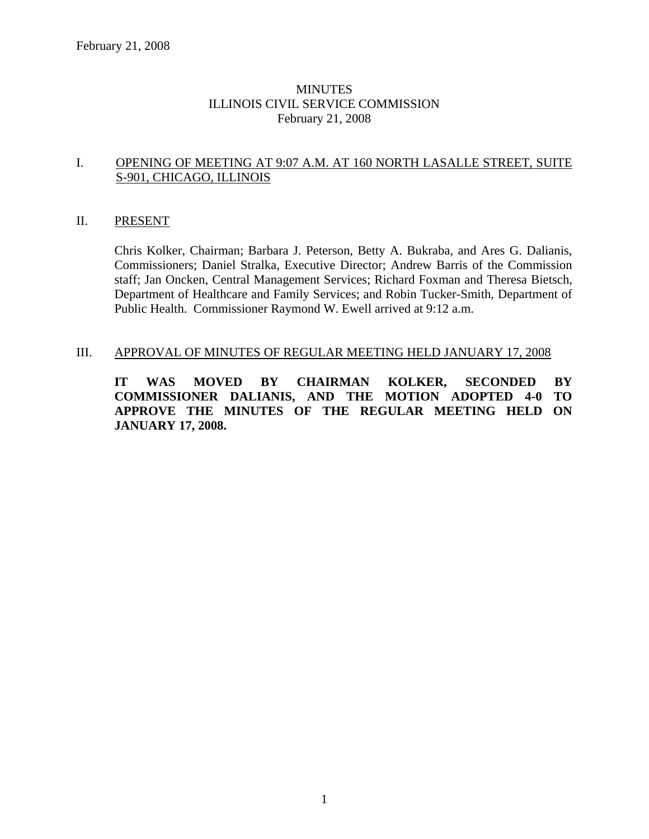# **MINUTES** ILLINOIS CIVIL SERVICE COMMISSION February 21, 2008

#### I. OPENING OF MEETING AT 9:07 A.M. AT 160 NORTH LASALLE STREET, SUITE S-901, CHICAGO, ILLINOIS

#### II. PRESENT

Chris Kolker, Chairman; Barbara J. Peterson, Betty A. Bukraba, and Ares G. Dalianis, Commissioners; Daniel Stralka, Executive Director; Andrew Barris of the Commission staff; Jan Oncken, Central Management Services; Richard Foxman and Theresa Bietsch, Department of Healthcare and Family Services; and Robin Tucker-Smith, Department of Public Health. Commissioner Raymond W. Ewell arrived at 9:12 a.m.

#### III. APPROVAL OF MINUTES OF REGULAR MEETING HELD JANUARY 17, 2008

**IT WAS MOVED BY CHAIRMAN KOLKER, SECONDED BY COMMISSIONER DALIANIS, AND THE MOTION ADOPTED 4-0 TO APPROVE THE MINUTES OF THE REGULAR MEETING HELD ON JANUARY 17, 2008.**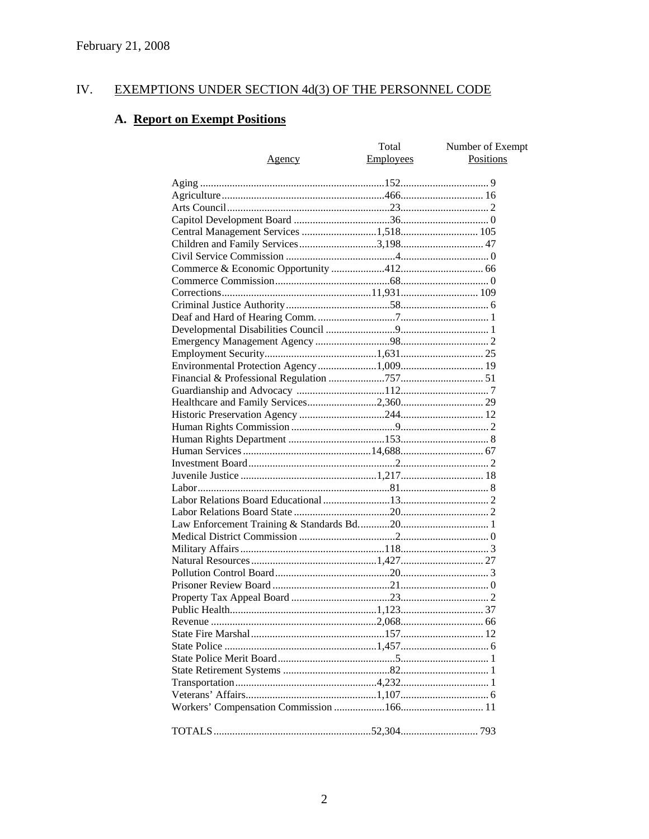#### IV. **EXEMPTIONS UNDER SECTION 4d(3) OF THE PERSONNEL CODE**

# A. Report on Exempt Positions

| <u>Agency</u>                        | Total<br>Employees | Number of Exempt<br><b>Positions</b> |
|--------------------------------------|--------------------|--------------------------------------|
|                                      |                    |                                      |
|                                      |                    |                                      |
|                                      |                    |                                      |
|                                      |                    |                                      |
|                                      |                    |                                      |
| Children and Family Services3,198 47 |                    |                                      |
|                                      |                    |                                      |
|                                      |                    |                                      |
|                                      |                    |                                      |
|                                      |                    |                                      |
|                                      |                    |                                      |
|                                      |                    |                                      |
|                                      |                    |                                      |
|                                      |                    |                                      |
|                                      |                    |                                      |
|                                      |                    |                                      |
|                                      |                    |                                      |
|                                      |                    |                                      |
|                                      |                    |                                      |
|                                      |                    |                                      |
|                                      |                    |                                      |
|                                      |                    |                                      |
|                                      |                    |                                      |
|                                      |                    |                                      |
|                                      |                    |                                      |
|                                      |                    |                                      |
|                                      |                    |                                      |
|                                      |                    |                                      |
|                                      |                    |                                      |
|                                      |                    |                                      |
|                                      |                    |                                      |
|                                      |                    |                                      |
|                                      |                    |                                      |
|                                      |                    |                                      |
|                                      |                    |                                      |
|                                      |                    |                                      |
|                                      |                    |                                      |
|                                      |                    |                                      |
|                                      |                    |                                      |
|                                      |                    |                                      |
|                                      |                    |                                      |
|                                      |                    |                                      |
|                                      |                    |                                      |
|                                      |                    |                                      |
|                                      |                    |                                      |
|                                      |                    |                                      |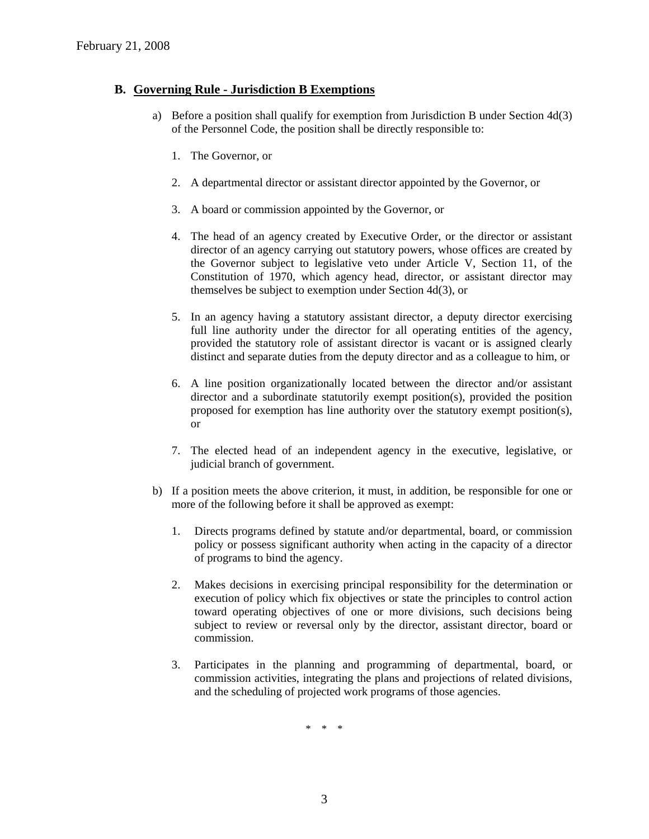#### **B. Governing Rule - Jurisdiction B Exemptions**

- a) Before a position shall qualify for exemption from Jurisdiction B under Section 4d(3) of the Personnel Code, the position shall be directly responsible to:
	- 1. The Governor, or
	- 2. A departmental director or assistant director appointed by the Governor, or
	- 3. A board or commission appointed by the Governor, or
	- 4. The head of an agency created by Executive Order, or the director or assistant director of an agency carrying out statutory powers, whose offices are created by the Governor subject to legislative veto under Article V, Section 11, of the Constitution of 1970, which agency head, director, or assistant director may themselves be subject to exemption under Section 4d(3), or
	- 5. In an agency having a statutory assistant director, a deputy director exercising full line authority under the director for all operating entities of the agency, provided the statutory role of assistant director is vacant or is assigned clearly distinct and separate duties from the deputy director and as a colleague to him, or
	- 6. A line position organizationally located between the director and/or assistant director and a subordinate statutorily exempt position(s), provided the position proposed for exemption has line authority over the statutory exempt position(s), or
	- 7. The elected head of an independent agency in the executive, legislative, or judicial branch of government.
- b) If a position meets the above criterion, it must, in addition, be responsible for one or more of the following before it shall be approved as exempt:
	- 1. Directs programs defined by statute and/or departmental, board, or commission policy or possess significant authority when acting in the capacity of a director of programs to bind the agency.
	- 2. Makes decisions in exercising principal responsibility for the determination or execution of policy which fix objectives or state the principles to control action toward operating objectives of one or more divisions, such decisions being subject to review or reversal only by the director, assistant director, board or commission.
	- 3. Participates in the planning and programming of departmental, board, or commission activities, integrating the plans and projections of related divisions, and the scheduling of projected work programs of those agencies.

\* \* \*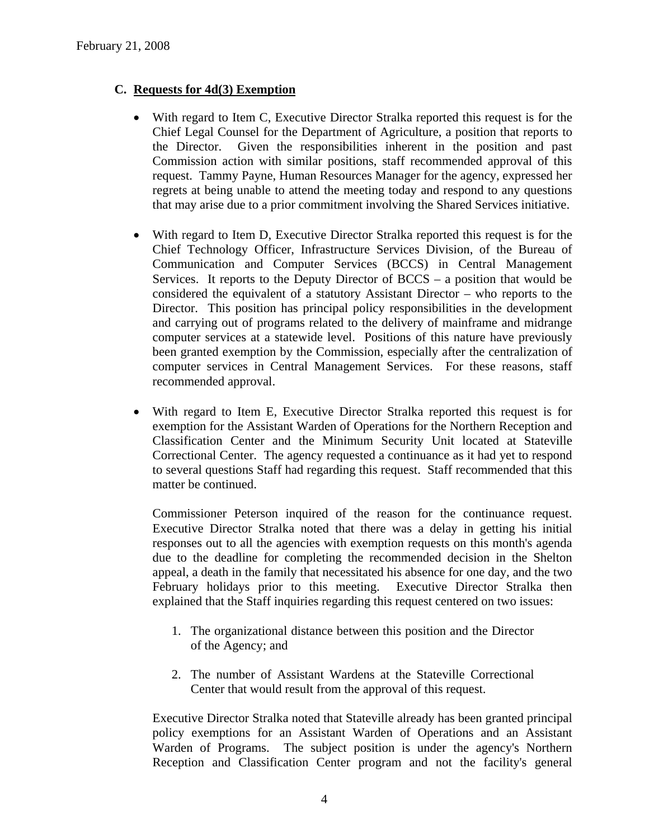# **C. Requests for 4d(3) Exemption**

- With regard to Item C, Executive Director Stralka reported this request is for the Chief Legal Counsel for the Department of Agriculture, a position that reports to the Director. Given the responsibilities inherent in the position and past Commission action with similar positions, staff recommended approval of this request. Tammy Payne, Human Resources Manager for the agency, expressed her regrets at being unable to attend the meeting today and respond to any questions that may arise due to a prior commitment involving the Shared Services initiative.
- With regard to Item D, Executive Director Stralka reported this request is for the Chief Technology Officer, Infrastructure Services Division, of the Bureau of Communication and Computer Services (BCCS) in Central Management Services. It reports to the Deputy Director of BCCS – a position that would be considered the equivalent of a statutory Assistant Director – who reports to the Director. This position has principal policy responsibilities in the development and carrying out of programs related to the delivery of mainframe and midrange computer services at a statewide level. Positions of this nature have previously been granted exemption by the Commission, especially after the centralization of computer services in Central Management Services. For these reasons, staff recommended approval.
- With regard to Item E, Executive Director Stralka reported this request is for exemption for the Assistant Warden of Operations for the Northern Reception and Classification Center and the Minimum Security Unit located at Stateville Correctional Center. The agency requested a continuance as it had yet to respond to several questions Staff had regarding this request. Staff recommended that this matter be continued.

Commissioner Peterson inquired of the reason for the continuance request. Executive Director Stralka noted that there was a delay in getting his initial responses out to all the agencies with exemption requests on this month's agenda due to the deadline for completing the recommended decision in the Shelton appeal, a death in the family that necessitated his absence for one day, and the two February holidays prior to this meeting. Executive Director Stralka then explained that the Staff inquiries regarding this request centered on two issues:

- 1. The organizational distance between this position and the Director of the Agency; and
- 2. The number of Assistant Wardens at the Stateville Correctional Center that would result from the approval of this request.

Executive Director Stralka noted that Stateville already has been granted principal policy exemptions for an Assistant Warden of Operations and an Assistant Warden of Programs. The subject position is under the agency's Northern Reception and Classification Center program and not the facility's general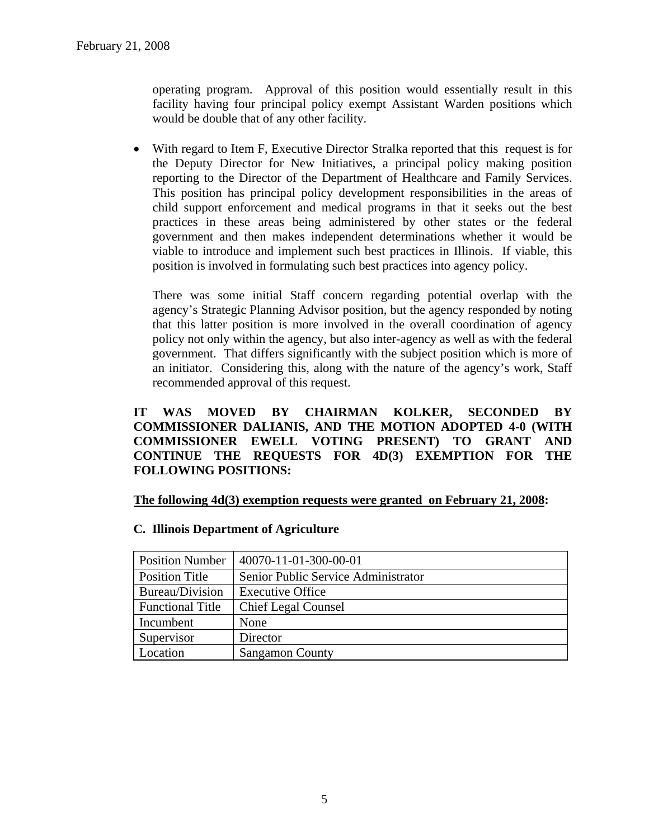operating program. Approval of this position would essentially result in this facility having four principal policy exempt Assistant Warden positions which would be double that of any other facility.

• With regard to Item F, Executive Director Stralka reported that this request is for the Deputy Director for New Initiatives, a principal policy making position reporting to the Director of the Department of Healthcare and Family Services. This position has principal policy development responsibilities in the areas of child support enforcement and medical programs in that it seeks out the best practices in these areas being administered by other states or the federal government and then makes independent determinations whether it would be viable to introduce and implement such best practices in Illinois. If viable, this position is involved in formulating such best practices into agency policy.

There was some initial Staff concern regarding potential overlap with the agency's Strategic Planning Advisor position, but the agency responded by noting that this latter position is more involved in the overall coordination of agency policy not only within the agency, but also inter-agency as well as with the federal government. That differs significantly with the subject position which is more of an initiator. Considering this, along with the nature of the agency's work, Staff recommended approval of this request.

# **IT WAS MOVED BY CHAIRMAN KOLKER, SECONDED BY COMMISSIONER DALIANIS, AND THE MOTION ADOPTED 4-0 (WITH COMMISSIONER EWELL VOTING PRESENT) TO GRANT AND CONTINUE THE REQUESTS FOR 4D(3) EXEMPTION FOR THE FOLLOWING POSITIONS:**

#### **The following 4d(3) exemption requests were granted on February 21, 2008:**

#### **C. Illinois Department of Agriculture**

| <b>Position Number</b>  | 40070-11-01-300-00-01               |  |
|-------------------------|-------------------------------------|--|
| <b>Position Title</b>   | Senior Public Service Administrator |  |
| Bureau/Division         | <b>Executive Office</b>             |  |
| <b>Functional Title</b> | <b>Chief Legal Counsel</b>          |  |
| Incumbent               | None                                |  |
| Supervisor              | Director                            |  |
| Location                | <b>Sangamon County</b>              |  |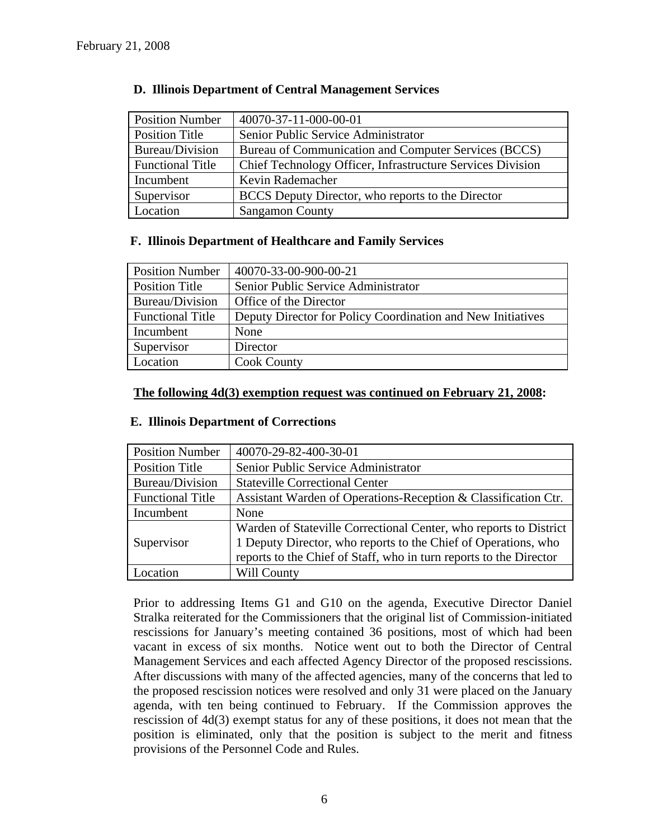| <b>Position Number</b>  | 40070-37-11-000-00-01                                      |
|-------------------------|------------------------------------------------------------|
| Position Title          | Senior Public Service Administrator                        |
| Bureau/Division         | Bureau of Communication and Computer Services (BCCS)       |
| <b>Functional Title</b> | Chief Technology Officer, Infrastructure Services Division |
| Incumbent               | Kevin Rademacher                                           |
| Supervisor              | BCCS Deputy Director, who reports to the Director          |
| Location                | <b>Sangamon County</b>                                     |

# **D. Illinois Department of Central Management Services**

# **F. Illinois Department of Healthcare and Family Services**

| <b>Position Number</b>  | 40070-33-00-900-00-21                                       |
|-------------------------|-------------------------------------------------------------|
| <b>Position Title</b>   | Senior Public Service Administrator                         |
| Bureau/Division         | Office of the Director                                      |
| <b>Functional Title</b> | Deputy Director for Policy Coordination and New Initiatives |
| Incumbent               | None                                                        |
| Supervisor              | Director                                                    |
| Location                | <b>Cook County</b>                                          |

# **The following 4d(3) exemption request was continued on February 21, 2008:**

# **E. Illinois Department of Corrections**

| <b>Position Number</b>  | 40070-29-82-400-30-01                                              |  |
|-------------------------|--------------------------------------------------------------------|--|
| <b>Position Title</b>   | Senior Public Service Administrator                                |  |
| Bureau/Division         | <b>Stateville Correctional Center</b>                              |  |
| <b>Functional Title</b> | Assistant Warden of Operations-Reception & Classification Ctr.     |  |
| Incumbent               | None                                                               |  |
|                         | Warden of Stateville Correctional Center, who reports to District  |  |
| Supervisor              | 1 Deputy Director, who reports to the Chief of Operations, who     |  |
|                         | reports to the Chief of Staff, who in turn reports to the Director |  |
| ocation                 | Will County                                                        |  |

Prior to addressing Items G1 and G10 on the agenda, Executive Director Daniel Stralka reiterated for the Commissioners that the original list of Commission-initiated rescissions for January's meeting contained 36 positions, most of which had been vacant in excess of six months. Notice went out to both the Director of Central Management Services and each affected Agency Director of the proposed rescissions. After discussions with many of the affected agencies, many of the concerns that led to the proposed rescission notices were resolved and only 31 were placed on the January agenda, with ten being continued to February. If the Commission approves the rescission of 4d(3) exempt status for any of these positions, it does not mean that the position is eliminated, only that the position is subject to the merit and fitness provisions of the Personnel Code and Rules.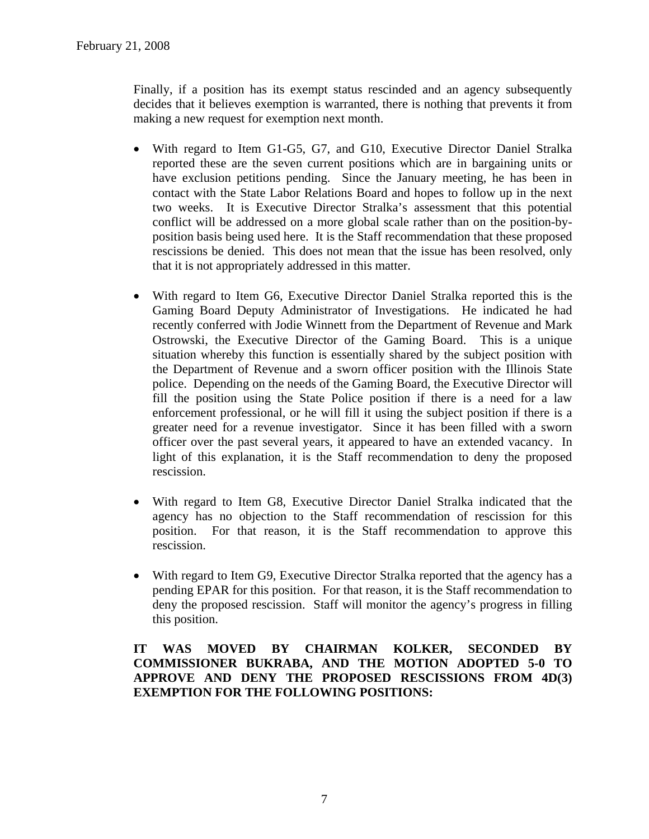Finally, if a position has its exempt status rescinded and an agency subsequently decides that it believes exemption is warranted, there is nothing that prevents it from making a new request for exemption next month.

- With regard to Item G1-G5, G7, and G10, Executive Director Daniel Stralka reported these are the seven current positions which are in bargaining units or have exclusion petitions pending. Since the January meeting, he has been in contact with the State Labor Relations Board and hopes to follow up in the next two weeks. It is Executive Director Stralka's assessment that this potential conflict will be addressed on a more global scale rather than on the position-byposition basis being used here. It is the Staff recommendation that these proposed rescissions be denied. This does not mean that the issue has been resolved, only that it is not appropriately addressed in this matter.
- With regard to Item G6, Executive Director Daniel Stralka reported this is the Gaming Board Deputy Administrator of Investigations. He indicated he had recently conferred with Jodie Winnett from the Department of Revenue and Mark Ostrowski, the Executive Director of the Gaming Board. This is a unique situation whereby this function is essentially shared by the subject position with the Department of Revenue and a sworn officer position with the Illinois State police. Depending on the needs of the Gaming Board, the Executive Director will fill the position using the State Police position if there is a need for a law enforcement professional, or he will fill it using the subject position if there is a greater need for a revenue investigator. Since it has been filled with a sworn officer over the past several years, it appeared to have an extended vacancy. In light of this explanation, it is the Staff recommendation to deny the proposed rescission.
- With regard to Item G8, Executive Director Daniel Stralka indicated that the agency has no objection to the Staff recommendation of rescission for this position. For that reason, it is the Staff recommendation to approve this rescission.
- With regard to Item G9, Executive Director Stralka reported that the agency has a pending EPAR for this position. For that reason, it is the Staff recommendation to deny the proposed rescission. Staff will monitor the agency's progress in filling this position.

**IT WAS MOVED BY CHAIRMAN KOLKER, SECONDED BY COMMISSIONER BUKRABA, AND THE MOTION ADOPTED 5-0 TO APPROVE AND DENY THE PROPOSED RESCISSIONS FROM 4D(3) EXEMPTION FOR THE FOLLOWING POSITIONS:**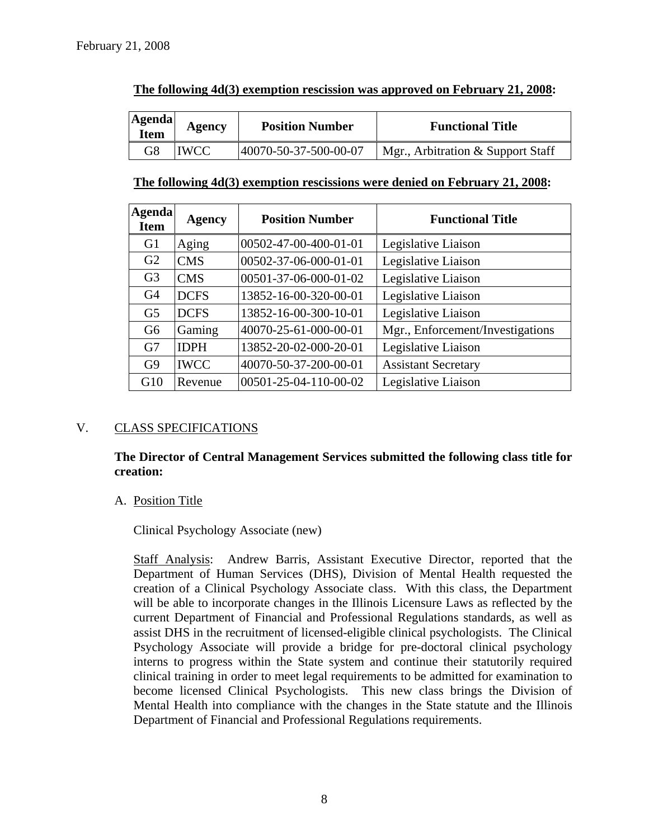| <b>Agenda</b><br><b>Item</b> | Agency | <b>Position Number</b> | <b>Functional Title</b>           |
|------------------------------|--------|------------------------|-----------------------------------|
| G8                           | IWCC   | 40070-50-37-500-00-07  | Mgr., Arbitration & Support Staff |

# **The following 4d(3) exemption rescission was approved on February 21, 2008:**

# **The following 4d(3) exemption rescissions were denied on February 21, 2008:**

| <b>Agenda</b><br><b>Item</b> | <b>Agency</b> | <b>Position Number</b> | <b>Functional Title</b>          |
|------------------------------|---------------|------------------------|----------------------------------|
| G <sub>1</sub>               | Aging         | 00502-47-00-400-01-01  | Legislative Liaison              |
| G2                           | <b>CMS</b>    | 00502-37-06-000-01-01  | Legislative Liaison              |
| G <sub>3</sub>               | <b>CMS</b>    | 00501-37-06-000-01-02  | Legislative Liaison              |
| G <sub>4</sub>               | <b>DCFS</b>   | 13852-16-00-320-00-01  | Legislative Liaison              |
| G <sub>5</sub>               | <b>DCFS</b>   | 13852-16-00-300-10-01  | Legislative Liaison              |
| G <sub>6</sub>               | Gaming        | 40070-25-61-000-00-01  | Mgr., Enforcement/Investigations |
| G7                           | <b>IDPH</b>   | 13852-20-02-000-20-01  | Legislative Liaison              |
| G <sub>9</sub>               | <b>IWCC</b>   | 40070-50-37-200-00-01  | <b>Assistant Secretary</b>       |
| G10                          | Revenue       | 00501-25-04-110-00-02  | Legislative Liaison              |

# V. CLASS SPECIFICATIONS

**The Director of Central Management Services submitted the following class title for creation:** 

# A. Position Title

Clinical Psychology Associate (new)

Staff Analysis: Andrew Barris, Assistant Executive Director, reported that the Department of Human Services (DHS), Division of Mental Health requested the creation of a Clinical Psychology Associate class. With this class, the Department will be able to incorporate changes in the Illinois Licensure Laws as reflected by the current Department of Financial and Professional Regulations standards, as well as assist DHS in the recruitment of licensed-eligible clinical psychologists. The Clinical Psychology Associate will provide a bridge for pre-doctoral clinical psychology interns to progress within the State system and continue their statutorily required clinical training in order to meet legal requirements to be admitted for examination to become licensed Clinical Psychologists. This new class brings the Division of Mental Health into compliance with the changes in the State statute and the Illinois Department of Financial and Professional Regulations requirements.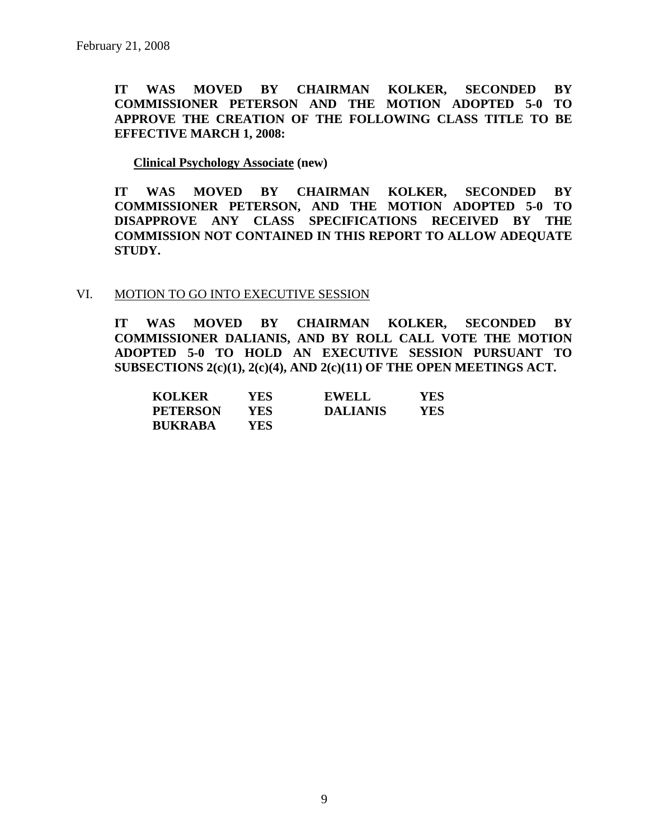**IT WAS MOVED BY CHAIRMAN KOLKER, SECONDED BY COMMISSIONER PETERSON AND THE MOTION ADOPTED 5-0 TO APPROVE THE CREATION OF THE FOLLOWING CLASS TITLE TO BE EFFECTIVE MARCH 1, 2008:** 

#### **Clinical Psychology Associate (new)**

**IT WAS MOVED BY CHAIRMAN KOLKER, SECONDED BY COMMISSIONER PETERSON, AND THE MOTION ADOPTED 5-0 TO DISAPPROVE ANY CLASS SPECIFICATIONS RECEIVED BY THE COMMISSION NOT CONTAINED IN THIS REPORT TO ALLOW ADEQUATE STUDY.** 

#### VI. MOTION TO GO INTO EXECUTIVE SESSION

**IT WAS MOVED BY CHAIRMAN KOLKER, SECONDED BY COMMISSIONER DALIANIS, AND BY ROLL CALL VOTE THE MOTION ADOPTED 5-0 TO HOLD AN EXECUTIVE SESSION PURSUANT TO SUBSECTIONS 2(c)(1), 2(c)(4), AND 2(c)(11) OF THE OPEN MEETINGS ACT.** 

| <b>KOLKER</b>   | YES | <b>EWELL</b>    | YES |
|-----------------|-----|-----------------|-----|
| <b>PETERSON</b> | YES | <b>DALIANIS</b> | YES |
| <b>BUKRABA</b>  | YES |                 |     |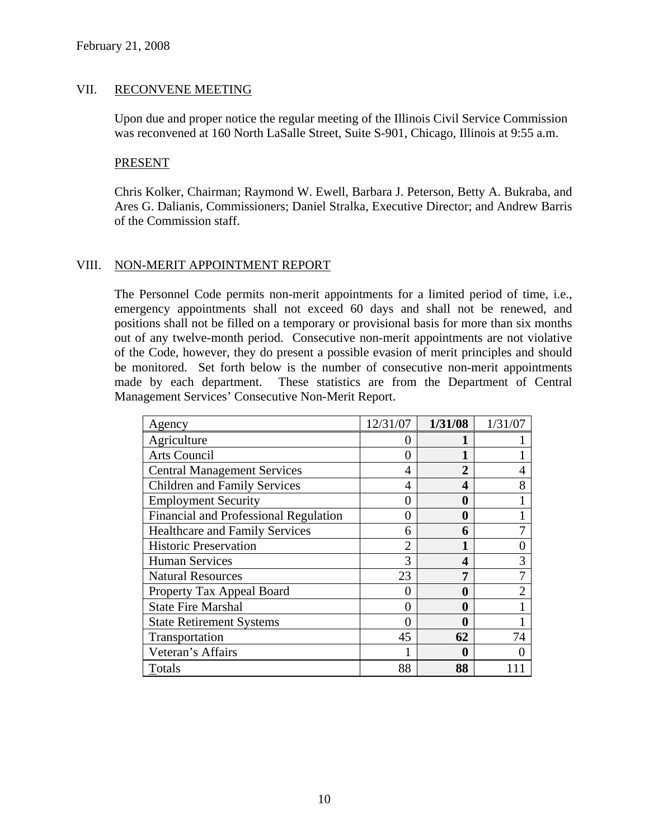# VII. RECONVENE MEETING

Upon due and proper notice the regular meeting of the Illinois Civil Service Commission was reconvened at 160 North LaSalle Street, Suite S-901, Chicago, Illinois at 9:55 a.m.

#### PRESENT

Chris Kolker, Chairman; Raymond W. Ewell, Barbara J. Peterson, Betty A. Bukraba, and Ares G. Dalianis, Commissioners; Daniel Stralka, Executive Director; and Andrew Barris of the Commission staff.

# VIII. NON-MERIT APPOINTMENT REPORT

The Personnel Code permits non-merit appointments for a limited period of time, i.e., emergency appointments shall not exceed 60 days and shall not be renewed, and positions shall not be filled on a temporary or provisional basis for more than six months out of any twelve-month period. Consecutive non-merit appointments are not violative of the Code, however, they do present a possible evasion of merit principles and should be monitored. Set forth below is the number of consecutive non-merit appointments made by each department. These statistics are from the Department of Central Management Services' Consecutive Non-Merit Report.

| Agency                                | 12/31/07 | 1/31/08 | 1/31/07 |
|---------------------------------------|----------|---------|---------|
| Agriculture                           |          |         |         |
| Arts Council                          |          |         |         |
| <b>Central Management Services</b>    | 4        | 2       |         |
| <b>Children and Family Services</b>   | 4        | 4       | 8       |
| <b>Employment Security</b>            |          | 0       |         |
| Financial and Professional Regulation |          | 0       |         |
| <b>Healthcare and Family Services</b> | 6        | 6       |         |
| <b>Historic Preservation</b>          |          |         |         |
| <b>Human Services</b>                 | 3        | 4       | 3       |
| <b>Natural Resources</b>              | 23       | 7       |         |
| Property Tax Appeal Board             |          | 0       |         |
| <b>State Fire Marshal</b>             |          | 0       |         |
| <b>State Retirement Systems</b>       |          | 0       |         |
| Transportation                        | 45       | 62      | 74      |
| Veteran's Affairs                     |          | 0       |         |
| Totals                                | 88       | 88      |         |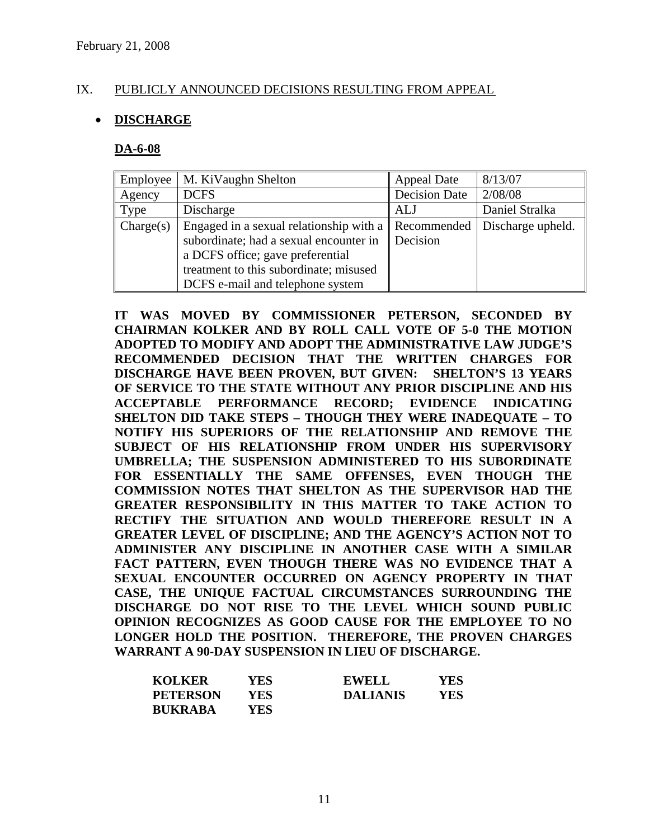# IX. PUBLICLY ANNOUNCED DECISIONS RESULTING FROM APPEAL

# • **DISCHARGE**

#### **DA-6-08**

| Employee  | M. KiVaughn Shelton                     | Appeal Date   | 8/13/07           |
|-----------|-----------------------------------------|---------------|-------------------|
| Agency    | <b>DCFS</b>                             | Decision Date | 2/08/08           |
| Type      | Discharge                               | ALJ           | Daniel Stralka    |
| Change(s) | Engaged in a sexual relationship with a | Recommended   | Discharge upheld. |
|           | subordinate; had a sexual encounter in  | Decision      |                   |
|           | a DCFS office; gave preferential        |               |                   |
|           | treatment to this subordinate; misused  |               |                   |
|           | DCFS e-mail and telephone system        |               |                   |

**IT WAS MOVED BY COMMISSIONER PETERSON, SECONDED BY CHAIRMAN KOLKER AND BY ROLL CALL VOTE OF 5-0 THE MOTION ADOPTED TO MODIFY AND ADOPT THE ADMINISTRATIVE LAW JUDGE'S RECOMMENDED DECISION THAT THE WRITTEN CHARGES FOR DISCHARGE HAVE BEEN PROVEN, BUT GIVEN: SHELTON'S 13 YEARS OF SERVICE TO THE STATE WITHOUT ANY PRIOR DISCIPLINE AND HIS ACCEPTABLE PERFORMANCE RECORD; EVIDENCE INDICATING SHELTON DID TAKE STEPS – THOUGH THEY WERE INADEQUATE – TO NOTIFY HIS SUPERIORS OF THE RELATIONSHIP AND REMOVE THE SUBJECT OF HIS RELATIONSHIP FROM UNDER HIS SUPERVISORY UMBRELLA; THE SUSPENSION ADMINISTERED TO HIS SUBORDINATE FOR ESSENTIALLY THE SAME OFFENSES, EVEN THOUGH THE COMMISSION NOTES THAT SHELTON AS THE SUPERVISOR HAD THE GREATER RESPONSIBILITY IN THIS MATTER TO TAKE ACTION TO RECTIFY THE SITUATION AND WOULD THEREFORE RESULT IN A GREATER LEVEL OF DISCIPLINE; AND THE AGENCY'S ACTION NOT TO ADMINISTER ANY DISCIPLINE IN ANOTHER CASE WITH A SIMILAR FACT PATTERN, EVEN THOUGH THERE WAS NO EVIDENCE THAT A SEXUAL ENCOUNTER OCCURRED ON AGENCY PROPERTY IN THAT CASE, THE UNIQUE FACTUAL CIRCUMSTANCES SURROUNDING THE DISCHARGE DO NOT RISE TO THE LEVEL WHICH SOUND PUBLIC OPINION RECOGNIZES AS GOOD CAUSE FOR THE EMPLOYEE TO NO LONGER HOLD THE POSITION. THEREFORE, THE PROVEN CHARGES WARRANT A 90-DAY SUSPENSION IN LIEU OF DISCHARGE.** 

| <b>KOLKER</b>   | YES | <b>EWELL</b>    | YES |
|-----------------|-----|-----------------|-----|
| <b>PETERSON</b> | YES | <b>DALIANIS</b> | YES |
| <b>BUKRABA</b>  | YES |                 |     |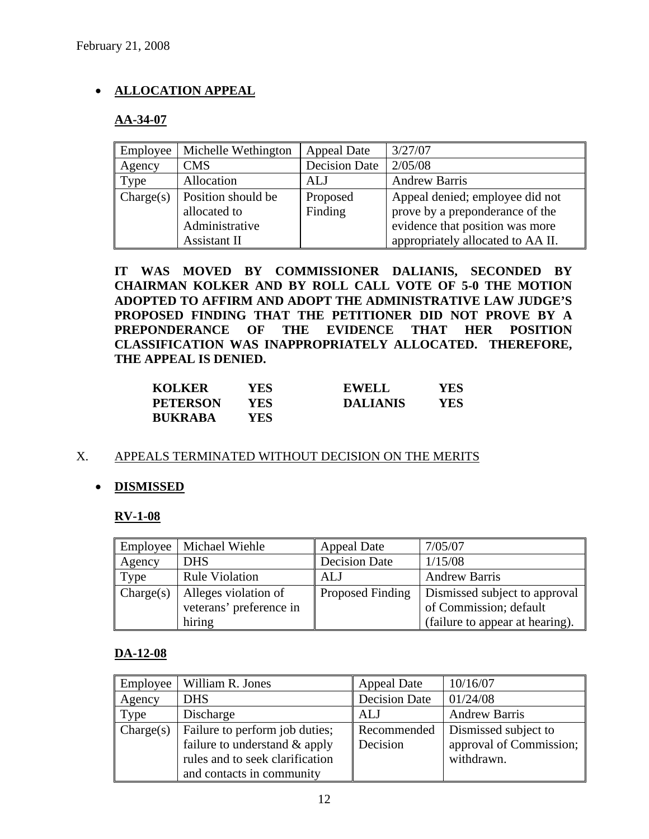# • **ALLOCATION APPEAL**

# **AA-34-07**

| Employee  | Michelle Wethington | <b>Appeal Date</b>   | 3/27/07                           |
|-----------|---------------------|----------------------|-----------------------------------|
| Agency    | <b>CMS</b>          | <b>Decision Date</b> | 2/05/08                           |
| Type      | Allocation          | ALJ                  | <b>Andrew Barris</b>              |
| Change(s) | Position should be  | Proposed             | Appeal denied; employee did not   |
|           | allocated to        | Finding              | prove by a preponderance of the   |
|           | Administrative      |                      | evidence that position was more   |
|           | Assistant II        |                      | appropriately allocated to AA II. |

**IT WAS MOVED BY COMMISSIONER DALIANIS, SECONDED BY CHAIRMAN KOLKER AND BY ROLL CALL VOTE OF 5-0 THE MOTION ADOPTED TO AFFIRM AND ADOPT THE ADMINISTRATIVE LAW JUDGE'S PROPOSED FINDING THAT THE PETITIONER DID NOT PROVE BY A PREPONDERANCE OF THE EVIDENCE THAT HER POSITION CLASSIFICATION WAS INAPPROPRIATELY ALLOCATED. THEREFORE, THE APPEAL IS DENIED.** 

| <b>KOLKER</b>   | YES | <b>EWELL</b>    | YES |
|-----------------|-----|-----------------|-----|
| <b>PETERSON</b> | YES | <b>DALIANIS</b> | YES |
| <b>BUKRABA</b>  | YES |                 |     |

# X. APPEALS TERMINATED WITHOUT DECISION ON THE MERITS

# • **DISMISSED**

# **RV-1-08**

| Employee  | Michael Wiehle          | <b>Appeal Date</b>   | 7/05/07                         |
|-----------|-------------------------|----------------------|---------------------------------|
| Agency    | <b>DHS</b>              | <b>Decision Date</b> | 1/15/08                         |
| Type      | <b>Rule Violation</b>   | <b>ALJ</b>           | <b>Andrew Barris</b>            |
| Change(s) | Alleges violation of    | Proposed Finding     | Dismissed subject to approval   |
|           | veterans' preference in |                      | of Commission; default          |
|           | hiring                  |                      | (failure to appear at hearing). |

# **DA-12-08**

| Employee  | William R. Jones                                                | <b>Appeal Date</b>      | 10/16/07                                        |
|-----------|-----------------------------------------------------------------|-------------------------|-------------------------------------------------|
| Agency    | <b>DHS</b>                                                      | <b>Decision Date</b>    | 01/24/08                                        |
| Type      | Discharge                                                       | ALJ                     | <b>Andrew Barris</b>                            |
| Change(s) | Failure to perform job duties;<br>failure to understand & apply | Recommended<br>Decision | Dismissed subject to<br>approval of Commission; |
|           | rules and to seek clarification<br>and contacts in community    |                         | withdrawn.                                      |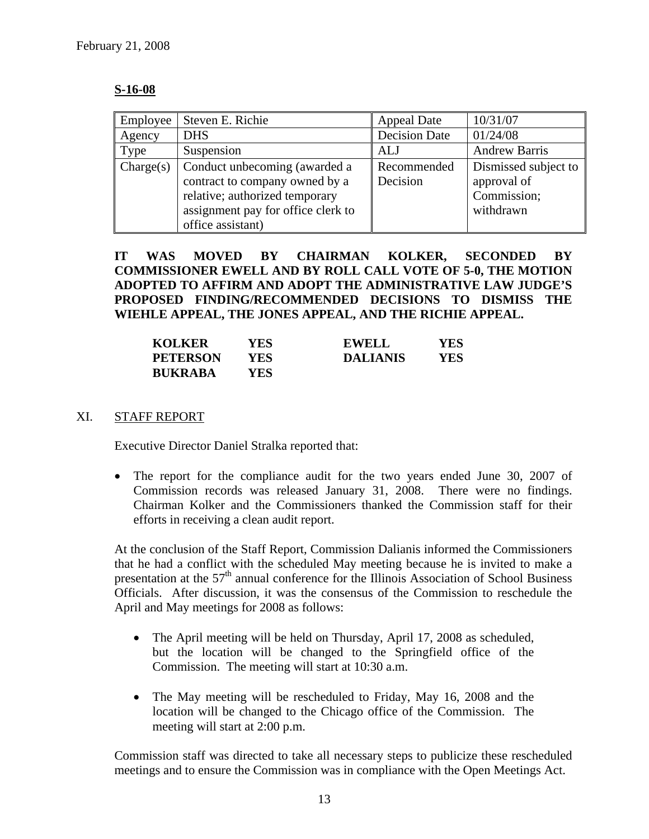#### **S-16-08**

| Employee  | Steven E. Richie                                                                                                                                             | <b>Appeal Date</b>      | 10/31/07                                                        |
|-----------|--------------------------------------------------------------------------------------------------------------------------------------------------------------|-------------------------|-----------------------------------------------------------------|
| Agency    | <b>DHS</b>                                                                                                                                                   | <b>Decision Date</b>    | 01/24/08                                                        |
| Type      | Suspension                                                                                                                                                   | ALJ                     | <b>Andrew Barris</b>                                            |
| Change(s) | Conduct unbecoming (awarded a<br>contract to company owned by a<br>relative; authorized temporary<br>assignment pay for office clerk to<br>office assistant) | Recommended<br>Decision | Dismissed subject to<br>approval of<br>Commission;<br>withdrawn |

# **IT WAS MOVED BY CHAIRMAN KOLKER, SECONDED BY COMMISSIONER EWELL AND BY ROLL CALL VOTE OF 5-0, THE MOTION ADOPTED TO AFFIRM AND ADOPT THE ADMINISTRATIVE LAW JUDGE'S PROPOSED FINDING/RECOMMENDED DECISIONS TO DISMISS THE WIEHLE APPEAL, THE JONES APPEAL, AND THE RICHIE APPEAL.**

| <b>KOLKER</b>   | YES  | EWELL           | YES |
|-----------------|------|-----------------|-----|
| <b>PETERSON</b> | YES. | <b>DALIANIS</b> | YES |
| <b>BUKRABA</b>  | YES  |                 |     |

#### XI. STAFF REPORT

Executive Director Daniel Stralka reported that:

• The report for the compliance audit for the two years ended June 30, 2007 of Commission records was released January 31, 2008. There were no findings. Chairman Kolker and the Commissioners thanked the Commission staff for their efforts in receiving a clean audit report.

At the conclusion of the Staff Report, Commission Dalianis informed the Commissioners that he had a conflict with the scheduled May meeting because he is invited to make a presentation at the  $57<sup>th</sup>$  annual conference for the Illinois Association of School Business Officials. After discussion, it was the consensus of the Commission to reschedule the April and May meetings for 2008 as follows:

- The April meeting will be held on Thursday, April 17, 2008 as scheduled, but the location will be changed to the Springfield office of the Commission. The meeting will start at 10:30 a.m.
- The May meeting will be rescheduled to Friday, May 16, 2008 and the location will be changed to the Chicago office of the Commission. The meeting will start at 2:00 p.m.

Commission staff was directed to take all necessary steps to publicize these rescheduled meetings and to ensure the Commission was in compliance with the Open Meetings Act.